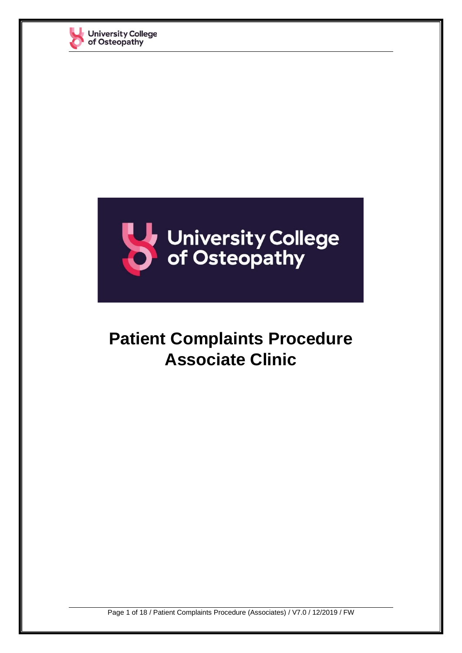



# **Patient Complaints Procedure Associate Clinic**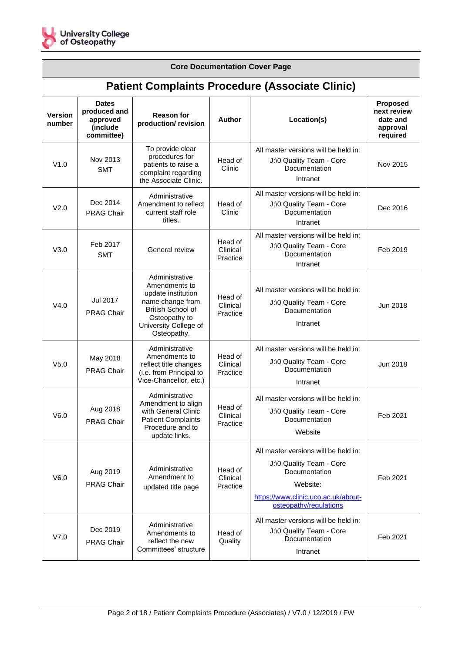

| <b>Core Documentation Cover Page</b>                   |                                                                    |                                                                                                                                                         |                                 |                                                                                                                                                                |                                                                    |
|--------------------------------------------------------|--------------------------------------------------------------------|---------------------------------------------------------------------------------------------------------------------------------------------------------|---------------------------------|----------------------------------------------------------------------------------------------------------------------------------------------------------------|--------------------------------------------------------------------|
| <b>Patient Complaints Procedure (Associate Clinic)</b> |                                                                    |                                                                                                                                                         |                                 |                                                                                                                                                                |                                                                    |
| <b>Version</b><br>number                               | <b>Dates</b><br>produced and<br>approved<br>(include<br>committee) | <b>Reason for</b><br>production/revision                                                                                                                | Author                          | Location(s)                                                                                                                                                    | <b>Proposed</b><br>next review<br>date and<br>approval<br>required |
| V1.0                                                   | Nov 2013<br><b>SMT</b>                                             | To provide clear<br>procedures for<br>patients to raise a<br>complaint regarding<br>the Associate Clinic.                                               | Head of<br>Clinic               | All master versions will be held in:<br>J:\0 Quality Team - Core<br>Documentation<br>Intranet                                                                  | Nov 2015                                                           |
| V2.0                                                   | Dec 2014<br><b>PRAG Chair</b>                                      | Administrative<br>Amendment to reflect<br>current staff role<br>titles.                                                                                 | Head of<br>Clinic               | All master versions will be held in:<br>J:\0 Quality Team - Core<br>Documentation<br>Intranet                                                                  | Dec 2016                                                           |
| V3.0                                                   | Feb 2017<br><b>SMT</b>                                             | General review                                                                                                                                          | Head of<br>Clinical<br>Practice | All master versions will be held in:<br>J:\0 Quality Team - Core<br>Documentation<br>Intranet                                                                  | Feb 2019                                                           |
| V4.0                                                   | Jul 2017<br><b>PRAG Chair</b>                                      | Administrative<br>Amendments to<br>update institution<br>name change from<br>British School of<br>Osteopathy to<br>University College of<br>Osteopathy. | Head of<br>Clinical<br>Practice | All master versions will be held in:<br>J:\0 Quality Team - Core<br>Documentation<br>Intranet                                                                  | Jun 2018                                                           |
| V <sub>5.0</sub>                                       | May 2018<br><b>PRAG Chair</b>                                      | Administrative<br>Amendments to<br>reflect title changes<br>(i.e. from Principal to<br>Vice-Chancellor, etc.)                                           | Head of<br>Clinical<br>Practice | All master versions will be held in:<br>J:\0 Quality Team - Core<br>Documentation<br>Intranet                                                                  | Jun 2018                                                           |
| V6.0                                                   | Aug 2018<br><b>PRAG Chair</b>                                      | Administrative<br>Amendment to align<br>with General Clinic<br><b>Patient Complaints</b><br>Procedure and to<br>update links.                           | Head of<br>Clinical<br>Practice | All master versions will be held in:<br>J:\0 Quality Team - Core<br>Documentation<br>Website                                                                   | Feb 2021                                                           |
| V6.0                                                   | Aug 2019<br><b>PRAG Chair</b>                                      | Administrative<br>Amendment to<br>updated title page                                                                                                    | Head of<br>Clinical<br>Practice | All master versions will be held in:<br>J:\0 Quality Team - Core<br>Documentation<br>Website:<br>https://www.clinic.uco.ac.uk/about-<br>osteopathy/regulations | Feb 2021                                                           |
| V7.0                                                   | Dec 2019<br><b>PRAG Chair</b>                                      | Administrative<br>Amendments to<br>reflect the new<br>Committees' structure                                                                             | Head of<br>Quality              | All master versions will be held in:<br>J:\0 Quality Team - Core<br>Documentation<br>Intranet                                                                  | Feb 2021                                                           |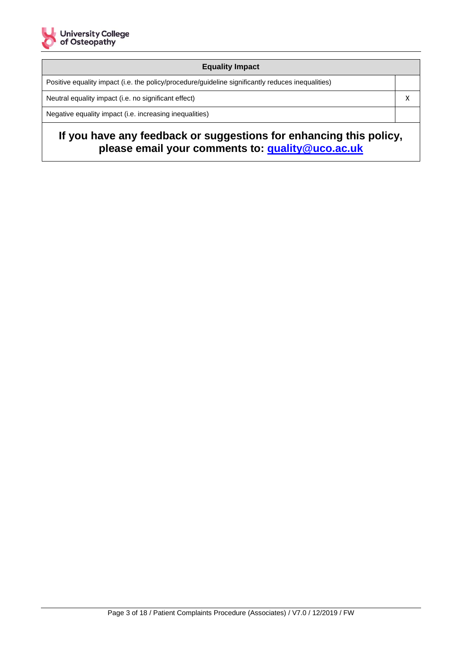

#### **Equality Impact**

Positive equality impact (i.e. the policy/procedure/guideline significantly reduces inequalities)

Neutral equality impact (i.e. no significant effect)  $\times$ 

Negative equality impact (i.e. increasing inequalities)

# **If you have any feedback or suggestions for enhancing this policy, please email your comments to: [quality@uco.ac.uk](mailto:quality@uco.ac.uk)**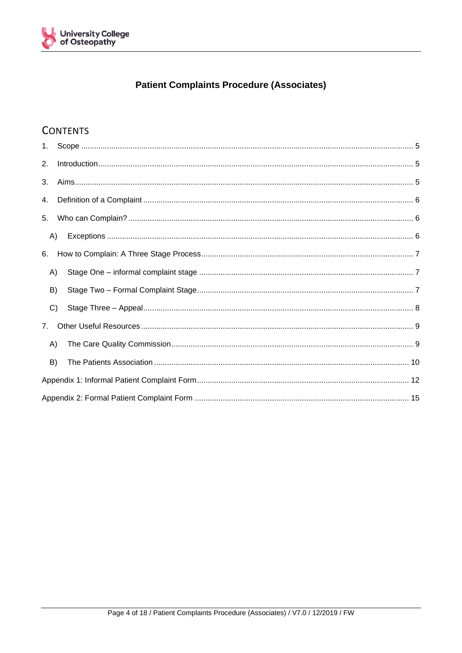

## **Patient Complaints Procedure (Associates)**

# **CONTENTS**

| 2.             |  |  |  |
|----------------|--|--|--|
| 3.             |  |  |  |
| 4.             |  |  |  |
| 5.             |  |  |  |
| A)             |  |  |  |
| 6.             |  |  |  |
| A)             |  |  |  |
| B)             |  |  |  |
| C)             |  |  |  |
| 7 <sub>1</sub> |  |  |  |
| A)             |  |  |  |
| B)             |  |  |  |
|                |  |  |  |
|                |  |  |  |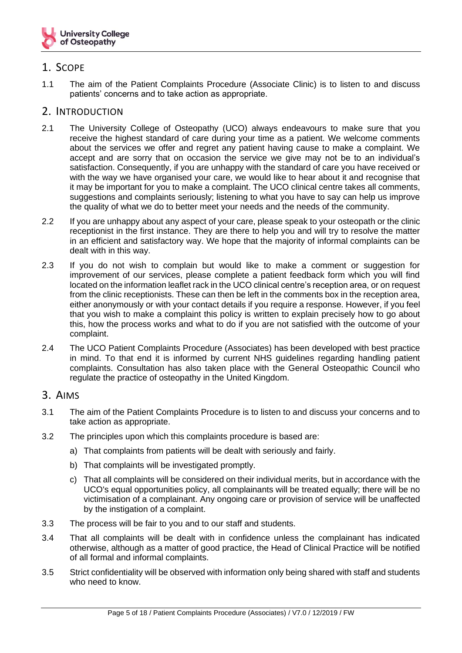

## <span id="page-4-0"></span>1. SCOPE

1.1 The aim of the Patient Complaints Procedure (Associate Clinic) is to listen to and discuss patients' concerns and to take action as appropriate.

#### <span id="page-4-1"></span>2. INTRODUCTION

- 2.1 The University College of Osteopathy (UCO) always endeavours to make sure that you receive the highest standard of care during your time as a patient. We welcome comments about the services we offer and regret any patient having cause to make a complaint. We accept and are sorry that on occasion the service we give may not be to an individual's satisfaction. Consequently, if you are unhappy with the standard of care you have received or with the way we have organised your care, we would like to hear about it and recognise that it may be important for you to make a complaint. The UCO clinical centre takes all comments, suggestions and complaints seriously; listening to what you have to say can help us improve the quality of what we do to better meet your needs and the needs of the community.
- 2.2 If you are unhappy about any aspect of your care, please speak to your osteopath or the clinic receptionist in the first instance. They are there to help you and will try to resolve the matter in an efficient and satisfactory way. We hope that the majority of informal complaints can be dealt with in this way.
- 2.3 If you do not wish to complain but would like to make a comment or suggestion for improvement of our services, please complete a patient feedback form which you will find located on the information leaflet rack in the UCO clinical centre's reception area, or on request from the clinic receptionists. These can then be left in the comments box in the reception area, either anonymously or with your contact details if you require a response. However, if you feel that you wish to make a complaint this policy is written to explain precisely how to go about this, how the process works and what to do if you are not satisfied with the outcome of your complaint.
- 2.4 The UCO Patient Complaints Procedure (Associates) has been developed with best practice in mind. To that end it is informed by current NHS guidelines regarding handling patient complaints. Consultation has also taken place with the General Osteopathic Council who regulate the practice of osteopathy in the United Kingdom.

#### <span id="page-4-2"></span>3. AIMS

- 3.1 The aim of the Patient Complaints Procedure is to listen to and discuss your concerns and to take action as appropriate.
- 3.2 The principles upon which this complaints procedure is based are:
	- a) That complaints from patients will be dealt with seriously and fairly.
	- b) That complaints will be investigated promptly.
	- c) That all complaints will be considered on their individual merits, but in accordance with the UCO's equal opportunities policy, all complainants will be treated equally; there will be no victimisation of a complainant. Any ongoing care or provision of service will be unaffected by the instigation of a complaint.
- 3.3 The process will be fair to you and to our staff and students.
- 3.4 That all complaints will be dealt with in confidence unless the complainant has indicated otherwise, although as a matter of good practice, the Head of Clinical Practice will be notified of all formal and informal complaints.
- 3.5 Strict confidentiality will be observed with information only being shared with staff and students who need to know.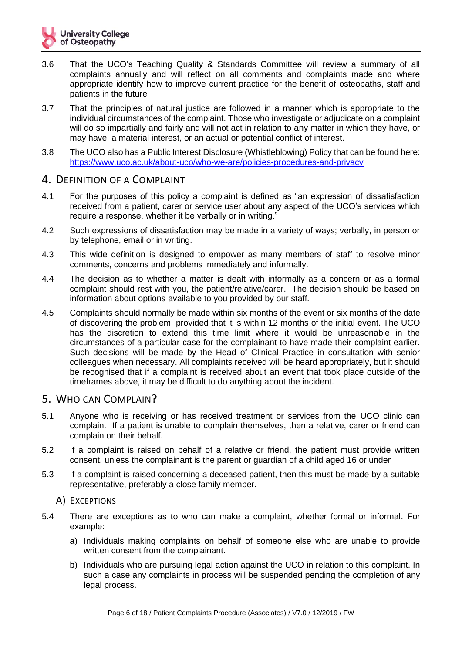- 3.6 That the UCO's Teaching Quality & Standards Committee will review a summary of all complaints annually and will reflect on all comments and complaints made and where appropriate identify how to improve current practice for the benefit of osteopaths, staff and patients in the future
- 3.7 That the principles of natural justice are followed in a manner which is appropriate to the individual circumstances of the complaint. Those who investigate or adjudicate on a complaint will do so impartially and fairly and will not act in relation to any matter in which they have, or may have, a material interest, or an actual or potential conflict of interest.
- 3.8 The UCO also has a Public Interest Disclosure (Whistleblowing) Policy that can be found here: <https://www.uco.ac.uk/about-uco/who-we-are/policies-procedures-and-privacy>

#### <span id="page-5-0"></span>4. DEFINITION OF A COMPLAINT

- 4.1 For the purposes of this policy a complaint is defined as "an expression of dissatisfaction received from a patient, carer or service user about any aspect of the UCO's services which require a response, whether it be verbally or in writing."
- 4.2 Such expressions of dissatisfaction may be made in a variety of ways; verbally, in person or by telephone, email or in writing.
- 4.3 This wide definition is designed to empower as many members of staff to resolve minor comments, concerns and problems immediately and informally.
- 4.4 The decision as to whether a matter is dealt with informally as a concern or as a formal complaint should rest with you, the patient/relative/carer. The decision should be based on information about options available to you provided by our staff.
- 4.5 Complaints should normally be made within six months of the event or six months of the date of discovering the problem, provided that it is within 12 months of the initial event. The UCO has the discretion to extend this time limit where it would be unreasonable in the circumstances of a particular case for the complainant to have made their complaint earlier. Such decisions will be made by the Head of Clinical Practice in consultation with senior colleagues when necessary. All complaints received will be heard appropriately, but it should be recognised that if a complaint is received about an event that took place outside of the timeframes above, it may be difficult to do anything about the incident.

#### <span id="page-5-1"></span>5. WHO CAN COMPLAIN?

- 5.1 Anyone who is receiving or has received treatment or services from the UCO clinic can complain. If a patient is unable to complain themselves, then a relative, carer or friend can complain on their behalf.
- 5.2 If a complaint is raised on behalf of a relative or friend, the patient must provide written consent, unless the complainant is the parent or guardian of a child aged 16 or under
- 5.3 If a complaint is raised concerning a deceased patient, then this must be made by a suitable representative, preferably a close family member.

#### <span id="page-5-2"></span>A) EXCEPTIONS

- 5.4 There are exceptions as to who can make a complaint, whether formal or informal. For example:
	- a) Individuals making complaints on behalf of someone else who are unable to provide written consent from the complainant.
	- b) Individuals who are pursuing legal action against the UCO in relation to this complaint. In such a case any complaints in process will be suspended pending the completion of any legal process.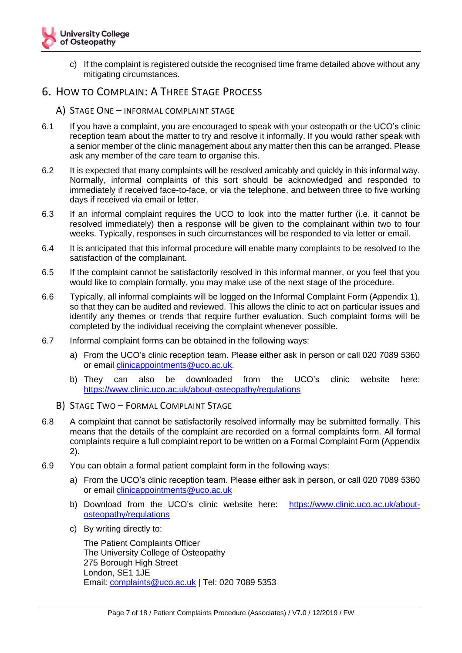

- c) If the complaint is registered outside the recognised time frame detailed above without any mitigating circumstances.
- <span id="page-6-1"></span><span id="page-6-0"></span>6. HOW TO COMPLAIN: A THREE STAGE PROCESS
	- A) STAGE ONE INFORMAL COMPLAINT STAGE
- 6.1 If you have a complaint, you are encouraged to speak with your osteopath or the UCO's clinic reception team about the matter to try and resolve it informally. If you would rather speak with a senior member of the clinic management about any matter then this can be arranged. Please ask any member of the care team to organise this.
- 6.2 It is expected that many complaints will be resolved amicably and quickly in this informal way. Normally, informal complaints of this sort should be acknowledged and responded to immediately if received face-to-face, or via the telephone, and between three to five working days if received via email or letter.
- 6.3 If an informal complaint requires the UCO to look into the matter further (i.e. it cannot be resolved immediately) then a response will be given to the complainant within two to four weeks. Typically, responses in such circumstances will be responded to via letter or email.
- 6.4 It is anticipated that this informal procedure will enable many complaints to be resolved to the satisfaction of the complainant.
- 6.5 If the complaint cannot be satisfactorily resolved in this informal manner, or you feel that you would like to complain formally, you may make use of the next stage of the procedure.
- 6.6 Typically, all informal complaints will be logged on the Informal Complaint Form (Appendix 1), so that they can be audited and reviewed. This allows the clinic to act on particular issues and identify any themes or trends that require further evaluation. Such complaint forms will be completed by the individual receiving the complaint whenever possible.
- 6.7 Informal complaint forms can be obtained in the following ways:
	- a) From the UCO's clinic reception team. Please either ask in person or call 020 7089 5360 or email [clinicappointments@uco.ac.uk.](mailto:clinicappointments@uco.ac.uk)
	- b) They can also be downloaded from the UCO's clinic website here: <https://www.clinic.uco.ac.uk/about-osteopathy/regulations>
	- B) STAGE TWO FORMAL COMPLAINT STAGE
- <span id="page-6-2"></span>6.8 A complaint that cannot be satisfactorily resolved informally may be submitted formally. This means that the details of the complaint are recorded on a formal complaints form. All formal complaints require a full complaint report to be written on a Formal Complaint Form (Appendix 2).
- 6.9 You can obtain a formal patient complaint form in the following ways:
	- a) From the UCO's clinic reception team. Please either ask in person, or call 020 7089 5360 or email [clinicappointments@uco.ac.uk](mailto:clinicappointments@uco.ac.uk)
	- b) Download from the UCO's clinic website here: [https://www.clinic.uco.ac.uk/about](https://www.clinic.uco.ac.uk/about-osteopathy/regulations)[osteopathy/regulations](https://www.clinic.uco.ac.uk/about-osteopathy/regulations)
	- c) By writing directly to:

The Patient Complaints Officer The University College of Osteopathy 275 Borough High Street London, SE1 1JE Email: [complaints@uco.ac.uk](mailto:complaints@uco.ac.uk) | Tel: 020 7089 5353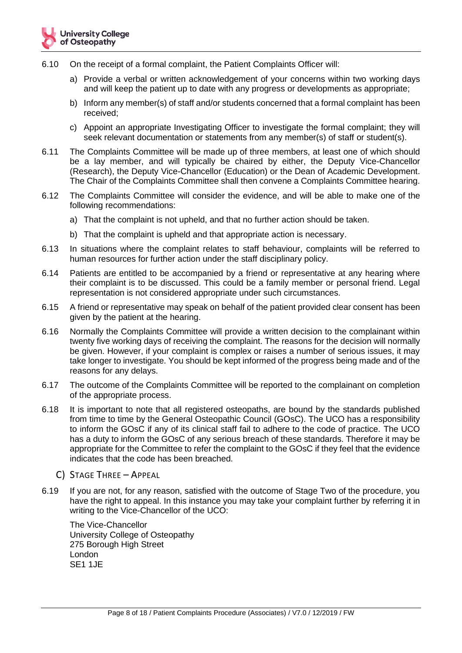- 6.10 On the receipt of a formal complaint, the Patient Complaints Officer will:
	- a) Provide a verbal or written acknowledgement of your concerns within two working days and will keep the patient up to date with any progress or developments as appropriate;
	- b) Inform any member(s) of staff and/or students concerned that a formal complaint has been received;
	- c) Appoint an appropriate Investigating Officer to investigate the formal complaint; they will seek relevant documentation or statements from any member(s) of staff or student(s).
- 6.11 The Complaints Committee will be made up of three members, at least one of which should be a lay member, and will typically be chaired by either, the Deputy Vice-Chancellor (Research), the Deputy Vice-Chancellor (Education) or the Dean of Academic Development. The Chair of the Complaints Committee shall then convene a Complaints Committee hearing.
- 6.12 The Complaints Committee will consider the evidence, and will be able to make one of the following recommendations:
	- a) That the complaint is not upheld, and that no further action should be taken.
	- b) That the complaint is upheld and that appropriate action is necessary.
- 6.13 In situations where the complaint relates to staff behaviour, complaints will be referred to human resources for further action under the staff disciplinary policy.
- 6.14 Patients are entitled to be accompanied by a friend or representative at any hearing where their complaint is to be discussed. This could be a family member or personal friend. Legal representation is not considered appropriate under such circumstances.
- 6.15 A friend or representative may speak on behalf of the patient provided clear consent has been given by the patient at the hearing.
- 6.16 Normally the Complaints Committee will provide a written decision to the complainant within twenty five working days of receiving the complaint. The reasons for the decision will normally be given. However, if your complaint is complex or raises a number of serious issues, it may take longer to investigate. You should be kept informed of the progress being made and of the reasons for any delays.
- 6.17 The outcome of the Complaints Committee will be reported to the complainant on completion of the appropriate process.
- 6.18 It is important to note that all registered osteopaths, are bound by the standards published from time to time by the General Osteopathic Council (GOsC). The UCO has a responsibility to inform the GOsC if any of its clinical staff fail to adhere to the code of practice. The UCO has a duty to inform the GOsC of any serious breach of these standards. Therefore it may be appropriate for the Committee to refer the complaint to the GOsC if they feel that the evidence indicates that the code has been breached.
	- C) STAGE THREE APPEAL
- <span id="page-7-0"></span>6.19 If you are not, for any reason, satisfied with the outcome of Stage Two of the procedure, you have the right to appeal. In this instance you may take your complaint further by referring it in writing to the Vice-Chancellor of the UCO:

The Vice-Chancellor University College of Osteopathy 275 Borough High Street London SE1 1JE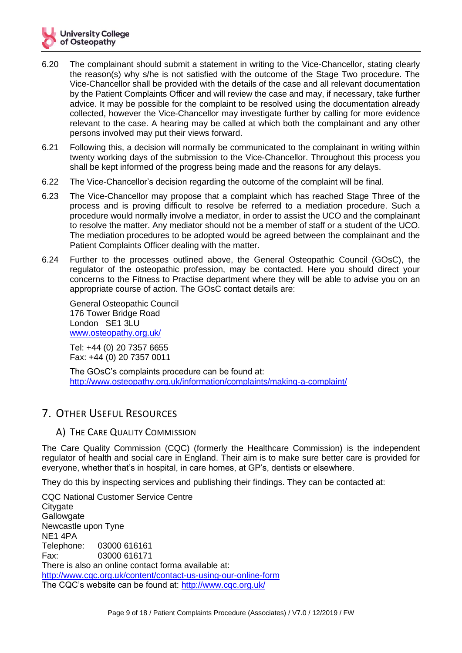

- 6.20 The complainant should submit a statement in writing to the Vice-Chancellor, stating clearly the reason(s) why s/he is not satisfied with the outcome of the Stage Two procedure. The Vice-Chancellor shall be provided with the details of the case and all relevant documentation by the Patient Complaints Officer and will review the case and may, if necessary, take further advice. It may be possible for the complaint to be resolved using the documentation already collected, however the Vice-Chancellor may investigate further by calling for more evidence relevant to the case. A hearing may be called at which both the complainant and any other persons involved may put their views forward.
- 6.21 Following this, a decision will normally be communicated to the complainant in writing within twenty working days of the submission to the Vice-Chancellor. Throughout this process you shall be kept informed of the progress being made and the reasons for any delays.
- 6.22 The Vice-Chancellor's decision regarding the outcome of the complaint will be final.
- 6.23 The Vice-Chancellor may propose that a complaint which has reached Stage Three of the process and is proving difficult to resolve be referred to a mediation procedure. Such a procedure would normally involve a mediator, in order to assist the UCO and the complainant to resolve the matter. Any mediator should not be a member of staff or a student of the UCO. The mediation procedures to be adopted would be agreed between the complainant and the Patient Complaints Officer dealing with the matter.
- 6.24 Further to the processes outlined above, the General Osteopathic Council (GOsC), the regulator of the osteopathic profession, may be contacted. Here you should direct your concerns to the Fitness to Practise department where they will be able to advise you on an appropriate course of action. The GOsC contact details are:

General Osteopathic Council 176 Tower Bridge Road London SE1 3LU [www.osteopathy.org.uk/](http://www.osteopathy.org.uk/)

Tel: +44 (0) 20 7357 6655 Fax: +44 (0) 20 7357 0011

The GOsC's complaints procedure can be found at: <http://www.osteopathy.org.uk/information/complaints/making-a-complaint/>

### <span id="page-8-0"></span>7. OTHER USEFUL RESOURCES

#### <span id="page-8-1"></span>A) THE CARE QUALITY COMMISSION

The Care Quality Commission (CQC) (formerly the Healthcare Commission) is the independent regulator of health and social care in England. Their aim is to make sure better care is provided for everyone, whether that's in hospital, in care homes, at GP's, dentists or elsewhere.

They do this by inspecting services and publishing their findings. They can be contacted at:

CQC National Customer Service Centre **Citygate Gallowgate** Newcastle upon Tyne NE1 4PA Telephone: 03000 616161 Fax: 03000 616171 There is also an online contact forma available at: <http://www.cqc.org.uk/content/contact-us-using-our-online-form> The CQC's website can be found at:<http://www.cqc.org.uk/>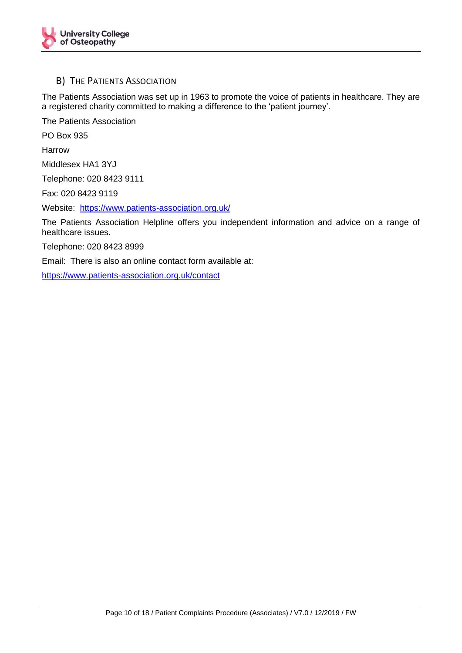

#### <span id="page-9-0"></span>B) THE PATIENTS ASSOCIATION

The Patients Association was set up in 1963 to promote the voice of patients in healthcare. They are a registered charity committed to making a difference to the 'patient journey'.

The Patients Association

PO Box 935

Harrow

Middlesex HA1 3YJ

Telephone: 020 8423 9111

Fax: 020 8423 9119

Website: <https://www.patients-association.org.uk/>

The Patients Association Helpline offers you independent information and advice on a range of healthcare issues.

Telephone: 020 8423 8999

Email: There is also an online contact form available at:

<https://www.patients-association.org.uk/contact>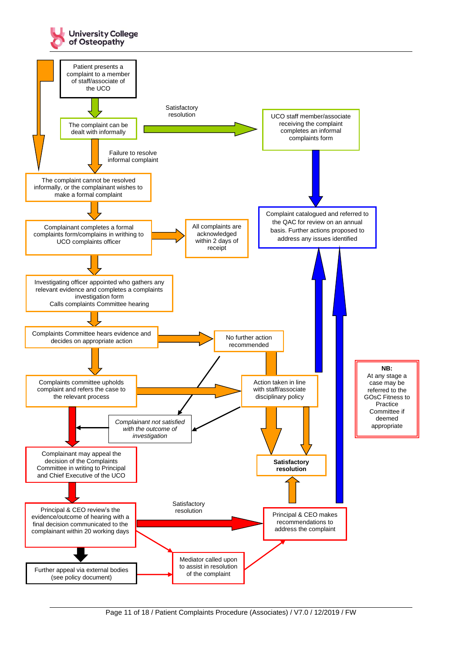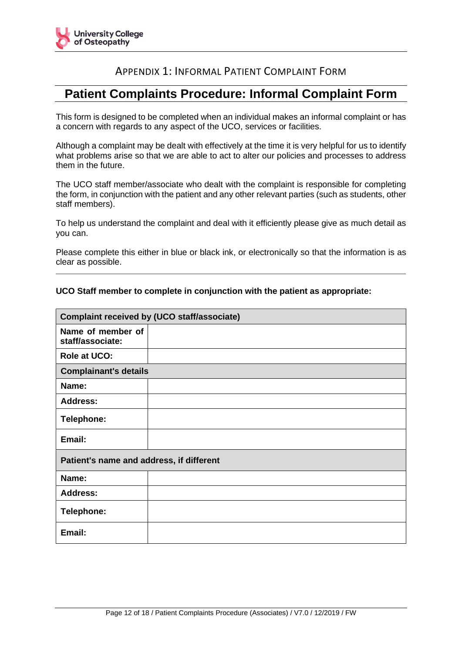

## APPENDIX 1: INFORMAL PATIENT COMPLAINT FORM

# <span id="page-11-0"></span>**Patient Complaints Procedure: Informal Complaint Form**

This form is designed to be completed when an individual makes an informal complaint or has a concern with regards to any aspect of the UCO, services or facilities.

Although a complaint may be dealt with effectively at the time it is very helpful for us to identify what problems arise so that we are able to act to alter our policies and processes to address them in the future.

The UCO staff member/associate who dealt with the complaint is responsible for completing the form, in conjunction with the patient and any other relevant parties (such as students, other staff members).

To help us understand the complaint and deal with it efficiently please give as much detail as you can.

Please complete this either in blue or black ink, or electronically so that the information is as clear as possible.

#### **UCO Staff member to complete in conjunction with the patient as appropriate:**

| <b>Complaint received by (UCO staff/associate)</b> |  |  |  |  |
|----------------------------------------------------|--|--|--|--|
| Name of member of<br>staff/associate:              |  |  |  |  |
| <b>Role at UCO:</b>                                |  |  |  |  |
| <b>Complainant's details</b>                       |  |  |  |  |
| Name:                                              |  |  |  |  |
| <b>Address:</b>                                    |  |  |  |  |
| <b>Telephone:</b>                                  |  |  |  |  |
| Email:                                             |  |  |  |  |
| Patient's name and address, if different           |  |  |  |  |
| Name:                                              |  |  |  |  |
| <b>Address:</b>                                    |  |  |  |  |
| <b>Telephone:</b>                                  |  |  |  |  |
| Email:                                             |  |  |  |  |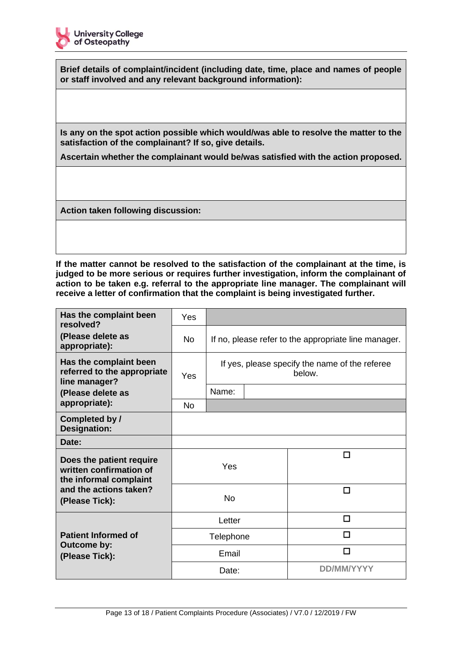

**Brief details of complaint/incident (including date, time, place and names of people or staff involved and any relevant background information):**

**Is any on the spot action possible which would/was able to resolve the matter to the satisfaction of the complainant? If so, give details.** 

**Ascertain whether the complainant would be/was satisfied with the action proposed.**

**Action taken following discussion:**

**If the matter cannot be resolved to the satisfaction of the complainant at the time, is judged to be more serious or requires further investigation, inform the complainant of action to be taken e.g. referral to the appropriate line manager. The complainant will receive a letter of confirmation that the complaint is being investigated further.**

| Has the complaint been<br>resolved?                                           | Yes       |                                                      |  |                                                          |  |
|-------------------------------------------------------------------------------|-----------|------------------------------------------------------|--|----------------------------------------------------------|--|
| (Please delete as<br>appropriate):                                            | <b>No</b> | If no, please refer to the appropriate line manager. |  |                                                          |  |
| Has the complaint been<br>referred to the appropriate<br>line manager?        | Yes       |                                                      |  | If yes, please specify the name of the referee<br>below. |  |
| (Please delete as                                                             |           | Name:                                                |  |                                                          |  |
| appropriate):                                                                 | No        |                                                      |  |                                                          |  |
| Completed by /<br><b>Designation:</b>                                         |           |                                                      |  |                                                          |  |
| Date:                                                                         |           |                                                      |  |                                                          |  |
| Does the patient require<br>written confirmation of<br>the informal complaint |           | Yes                                                  |  | п                                                        |  |
| and the actions taken?<br>(Please Tick):                                      |           | <b>No</b>                                            |  | П                                                        |  |
|                                                                               | Letter    |                                                      |  | п                                                        |  |
| <b>Patient Informed of</b>                                                    | Telephone |                                                      |  | П                                                        |  |
| Outcome by:<br>(Please Tick):                                                 |           | Email                                                |  | П                                                        |  |
|                                                                               |           | Date:                                                |  | DD/MM/YYYY                                               |  |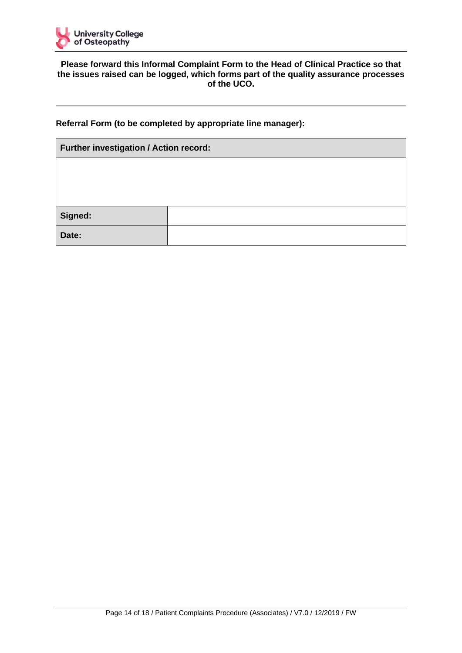

#### **Please forward this Informal Complaint Form to the Head of Clinical Practice so that the issues raised can be logged, which forms part of the quality assurance processes of the UCO.**

#### **Referral Form (to be completed by appropriate line manager):**

| Further investigation / Action record: |  |  |
|----------------------------------------|--|--|
|                                        |  |  |
|                                        |  |  |
|                                        |  |  |
| Signed:                                |  |  |
| Date:                                  |  |  |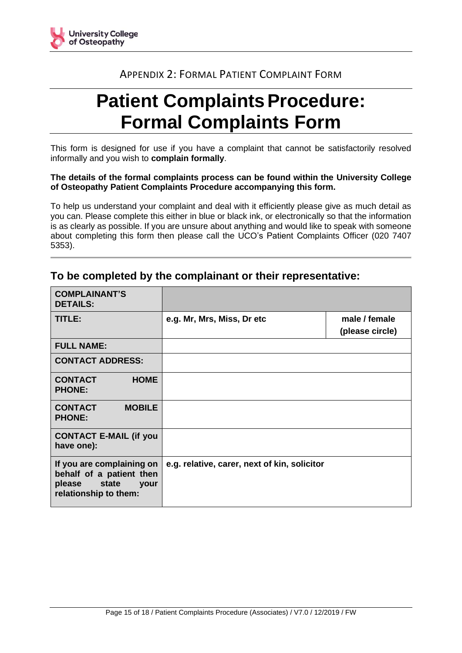<span id="page-14-0"></span>

## APPENDIX 2: FORMAL PATIENT COMPLAINT FORM

# **Patient Complaints Procedure: Formal Complaints Form**

This form is designed for use if you have a complaint that cannot be satisfactorily resolved informally and you wish to **complain formally**.

#### **The details of the formal complaints process can be found within the University College of Osteopathy Patient Complaints Procedure accompanying this form.**

To help us understand your complaint and deal with it efficiently please give as much detail as you can. Please complete this either in blue or black ink, or electronically so that the information is as clearly as possible. If you are unsure about anything and would like to speak with someone about completing this form then please call the UCO's Patient Complaints Officer (020 7407 5353).

| <b>COMPLAINANT'S</b><br><b>DETAILS:</b>                                                                   |                                              |                                  |
|-----------------------------------------------------------------------------------------------------------|----------------------------------------------|----------------------------------|
| TITLE:                                                                                                    | e.g. Mr, Mrs, Miss, Dr etc                   | male / female<br>(please circle) |
| <b>FULL NAME:</b>                                                                                         |                                              |                                  |
| <b>CONTACT ADDRESS:</b>                                                                                   |                                              |                                  |
| <b>CONTACT</b><br><b>HOME</b><br><b>PHONE:</b>                                                            |                                              |                                  |
| <b>MOBILE</b><br><b>CONTACT</b><br><b>PHONE:</b>                                                          |                                              |                                  |
| <b>CONTACT E-MAIL (if you</b><br>have one):                                                               |                                              |                                  |
| If you are complaining on<br>behalf of a patient then<br>state<br>please<br>your<br>relationship to them: | e.g. relative, carer, next of kin, solicitor |                                  |

### **To be completed by the complainant or their representative:**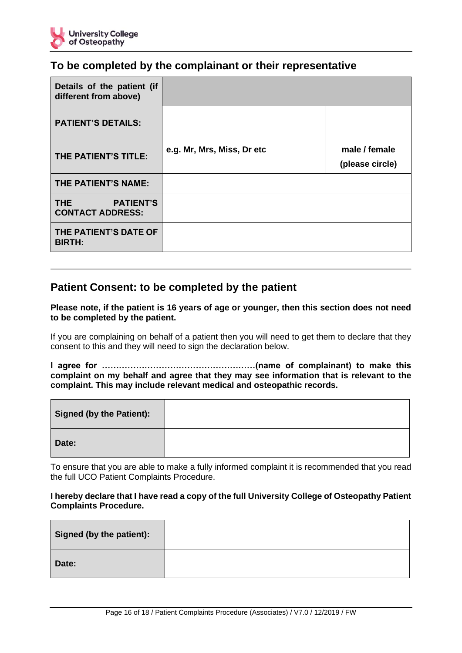

## **To be completed by the complainant or their representative**

| Details of the patient (if<br>different from above)           |                            |                                  |
|---------------------------------------------------------------|----------------------------|----------------------------------|
| <b>PATIENT'S DETAILS:</b>                                     |                            |                                  |
| THE PATIENT'S TITLE:                                          | e.g. Mr, Mrs, Miss, Dr etc | male / female<br>(please circle) |
| THE PATIENT'S NAME:                                           |                            |                                  |
| THE <b>THE</b><br><b>PATIENT'S</b><br><b>CONTACT ADDRESS:</b> |                            |                                  |
| THE PATIENT'S DATE OF<br><b>BIRTH:</b>                        |                            |                                  |

## **Patient Consent: to be completed by the patient**

**Please note, if the patient is 16 years of age or younger, then this section does not need to be completed by the patient.**

If you are complaining on behalf of a patient then you will need to get them to declare that they consent to this and they will need to sign the declaration below.

**I agree for ………………………………………………(name of complainant) to make this complaint on my behalf and agree that they may see information that is relevant to the complaint. This may include relevant medical and osteopathic records.**

| Signed (by the Patient): |  |
|--------------------------|--|
| Date:                    |  |

To ensure that you are able to make a fully informed complaint it is recommended that you read the full UCO Patient Complaints Procedure.

#### **I hereby declare that I have read a copy of the full University College of Osteopathy Patient Complaints Procedure.**

| Signed (by the patient): |  |
|--------------------------|--|
| Date:                    |  |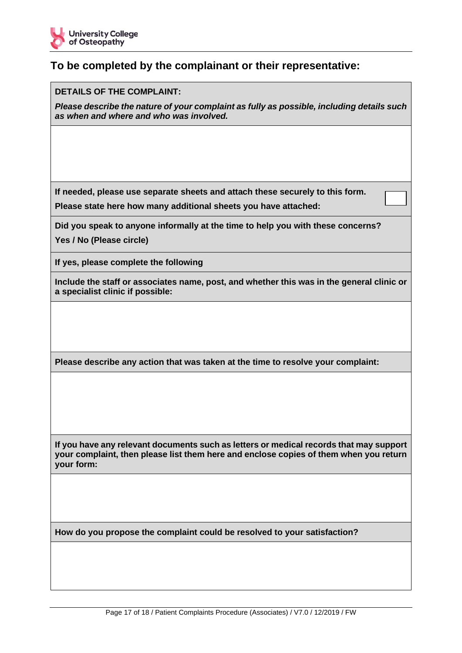

## **To be completed by the complainant or their representative:**

#### **DETAILS OF THE COMPLAINT:**

*Please describe the nature of your complaint as fully as possible, including details such as when and where and who was involved.*

**If needed, please use separate sheets and attach these securely to this form.** 

**Please state here how many additional sheets you have attached:** 

**Did you speak to anyone informally at the time to help you with these concerns? Yes / No (Please circle)**

**If yes, please complete the following**

**Include the staff or associates name, post, and whether this was in the general clinic or a specialist clinic if possible:**

**Please describe any action that was taken at the time to resolve your complaint:**

**If you have any relevant documents such as letters or medical records that may support your complaint, then please list them here and enclose copies of them when you return your form:**

**How do you propose the complaint could be resolved to your satisfaction?**